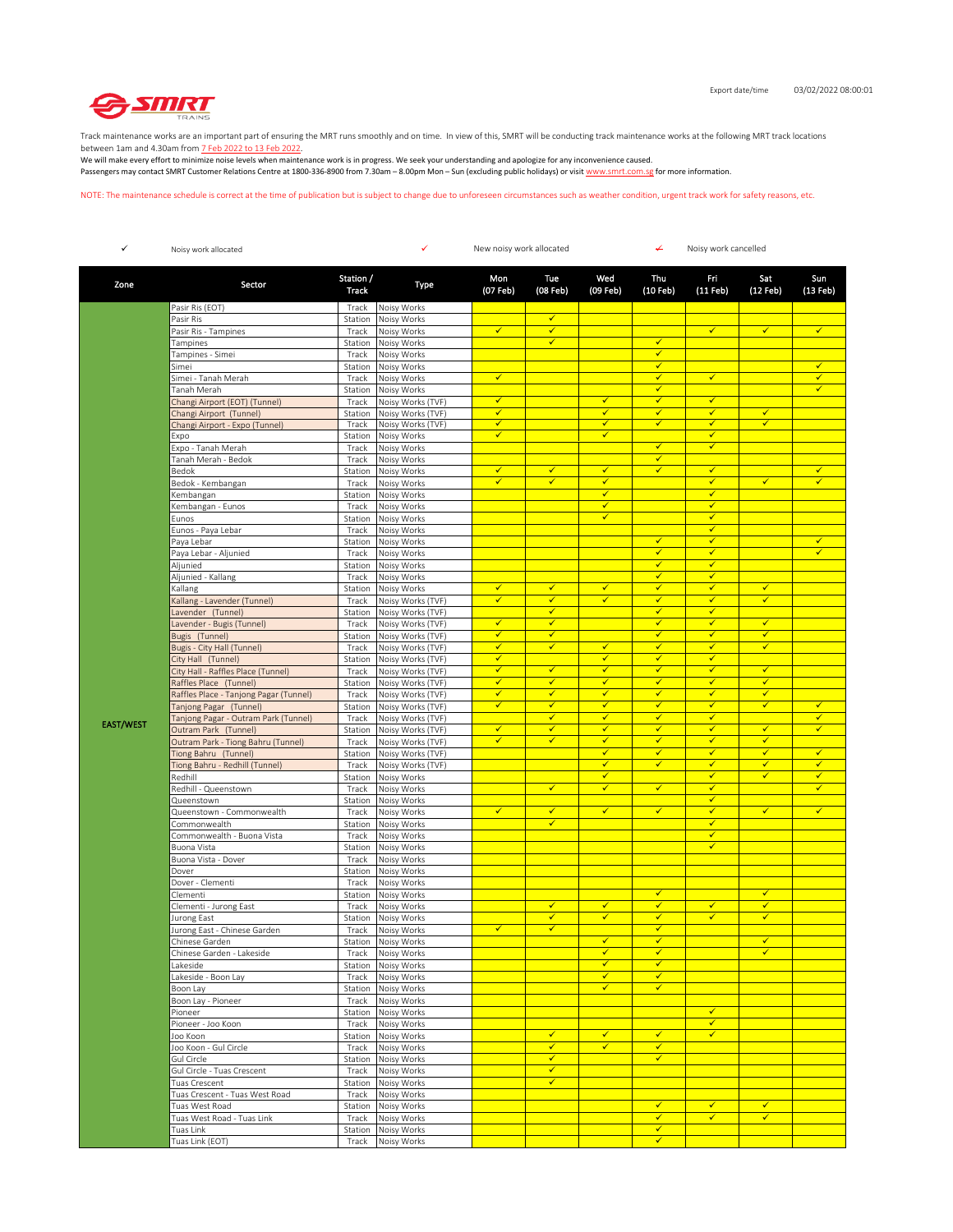

Track maintenance works are an important part of ensuring the MRT runs smoothly and on time. In view of this, SMRT will be conducting track maintenance works at the following MRT track locations between 1am and 4.30am from 7 Feb 2022 to 13 Feb 2022.

We will make every effort to minimize noise levels when maintenance work is in progress. We seek your understanding and apologize for any inconvenience caused. Passengers may contact SMRT Customer Relations Centre at 1800-336-8900 from 7.30am – 8.00pm Mon – Sun (excluding public holidays) or visit www.smrt.com.sg for more information.

NOTE: The maintenance schedule is correct at the time of publication but is subject to change due to unforeseen circumstances such as weather condition, urgent track work for safety reasons, etc.

| ✓                | Noisy work allocated                                   |                    | ✓                                      | ↚<br>New noisy work allocated |                              |                   |                              | Noisy work cancelled         |                              |                   |  |
|------------------|--------------------------------------------------------|--------------------|----------------------------------------|-------------------------------|------------------------------|-------------------|------------------------------|------------------------------|------------------------------|-------------------|--|
| Zone             | Sector                                                 | Station /<br>Track | Type                                   | Mon<br>(07 Feb)               | Tue<br>(08 Feb)              | Wed<br>(09 Feb)   | Thu<br>(10 Feb)              | Fri<br>(11 Feb)              | Sat<br>(12 Feb)              | Sun<br>$(13$ Feb) |  |
|                  | Pasir Ris (EOT)                                        | Track              | Noisy Works                            |                               |                              |                   |                              |                              |                              |                   |  |
|                  | Pasir Ris                                              | Station            | Noisy Works                            |                               | $\checkmark$                 |                   |                              |                              |                              |                   |  |
|                  | Pasir Ris - Tampines                                   | Track              | Noisy Works                            | $\checkmark$                  | $\checkmark$                 |                   |                              | $\checkmark$                 | $\checkmark$                 | $\checkmark$      |  |
|                  | Tampines                                               | Station            | Noisy Works                            |                               | $\checkmark$                 |                   | $\checkmark$                 |                              |                              |                   |  |
|                  | Tampines - Simei                                       | Track              | Noisy Works                            |                               |                              |                   | $\checkmark$                 |                              |                              |                   |  |
|                  | Simei<br>Simei - Tanah Merah                           | Station<br>Track   | Noisy Works<br>Noisy Works             | $\checkmark$                  |                              |                   | ✓<br>$\checkmark$            | $\checkmark$                 |                              | ✓<br>$\checkmark$ |  |
|                  | Tanah Merah                                            | Station            | Noisy Works                            |                               |                              |                   | $\checkmark$                 |                              |                              | ✓                 |  |
|                  | Changi Airport (EOT) (Tunnel)                          | Track              | Noisy Works (TVF)                      | $\checkmark$                  |                              | ✓                 | $\checkmark$                 | ✓                            |                              |                   |  |
|                  | Changi Airport (Tunnel)                                | Station            | Noisy Works (TVF)                      | ✓                             |                              | ✓                 | ✓                            | ✔                            | $\checkmark$                 |                   |  |
|                  | Changi Airport - Expo (Tunnel)                         | Track              | Noisy Works (TVF)                      | $\checkmark$                  |                              | $\checkmark$      | $\checkmark$                 | $\checkmark$                 | ✓                            |                   |  |
|                  | Expo                                                   | Station            | Noisy Works                            | $\checkmark$                  |                              | $\checkmark$      |                              | ✓                            |                              |                   |  |
|                  | Expo - Tanah Merah                                     | Track              | Noisy Works                            |                               |                              |                   | $\checkmark$                 | $\checkmark$                 |                              |                   |  |
|                  | Tanah Merah - Bedok                                    | Track              | Noisy Works                            |                               |                              |                   | $\checkmark$                 |                              |                              |                   |  |
|                  | Bedok                                                  | Station            | Noisy Works                            | $\checkmark$<br>$\checkmark$  | $\checkmark$<br>$\checkmark$ | $\checkmark$<br>✓ | $\checkmark$                 | $\checkmark$<br>$\checkmark$ | $\checkmark$                 | $\checkmark$<br>✓ |  |
|                  | Bedok - Kembangan                                      | Track              | Noisy Works                            |                               |                              | ✓                 |                              | ✓                            |                              |                   |  |
|                  | Kembangan<br>Kembangan - Eunos                         | Station<br>Track   | Noisy Works<br>Noisy Works             |                               |                              | ✓                 |                              | ✓                            |                              |                   |  |
|                  | Eunos                                                  | Station            | Noisy Works                            |                               |                              | $\checkmark$      |                              | $\checkmark$                 |                              |                   |  |
|                  | Eunos - Paya Lebar                                     | Track              | Noisy Works                            |                               |                              |                   |                              | ✓                            |                              |                   |  |
|                  | Paya Lebar                                             | Station            | Noisy Works                            |                               |                              |                   | ✓                            | √                            |                              | ✓                 |  |
|                  | Paya Lebar - Aljunied                                  | Track              | Noisy Works                            |                               |                              |                   | $\checkmark$                 | ✓                            |                              | $\checkmark$      |  |
|                  | Aljunied                                               | Station            | Noisy Works                            |                               |                              |                   | $\checkmark$                 | ✓                            |                              |                   |  |
|                  | Aljunied - Kallang                                     | Track              | Noisy Works                            |                               |                              |                   | $\checkmark$                 | $\checkmark$                 |                              |                   |  |
|                  | Kallang                                                | Station            | Noisy Works                            | $\checkmark$                  | ✓                            | $\checkmark$      | $\checkmark$                 | ✓                            | $\checkmark$                 |                   |  |
|                  | Kallang - Lavender (Tunnel)                            | Track              | Noisy Works (TVF)                      | $\checkmark$                  | $\checkmark$                 | ✓                 | $\checkmark$                 | ✓                            | $\checkmark$                 |                   |  |
|                  | Lavender (Tunnel)                                      | Station            | Noisy Works (TVF)                      |                               | $\checkmark$                 |                   | ✔                            | ✓                            |                              |                   |  |
|                  | Lavender - Bugis (Tunnel)                              | Track              | Noisy Works (TVF)                      | $\checkmark$<br>✓             | $\checkmark$<br>✓            |                   | $\checkmark$<br>$\checkmark$ | ✓<br>✓                       | $\checkmark$<br>$\checkmark$ |                   |  |
|                  | Bugis (Tunnel)<br>Bugis - City Hall (Tunnel)           | Station<br>Track   | Noisy Works (TVF)<br>Noisy Works (TVF) | $\checkmark$                  | $\checkmark$                 | $\checkmark$      | $\checkmark$                 | $\checkmark$                 | $\checkmark$                 |                   |  |
|                  | City Hall (Tunnel)                                     | Station            | Noisy Works (TVF)                      | $\checkmark$                  |                              | $\checkmark$      | $\checkmark$                 | $\checkmark$                 |                              |                   |  |
|                  | City Hall - Raffles Place (Tunnel)                     | Track              | Noisy Works (TVF)                      | $\checkmark$                  | $\checkmark$                 | ✓                 | $\checkmark$                 | $\checkmark$                 | $\checkmark$                 |                   |  |
|                  | Raffles Place (Tunnel)                                 | Station            | Noisy Works (TVF)                      | ✓                             | ✓                            | ✓                 | $\checkmark$                 | ✓                            | ✓                            |                   |  |
|                  | Raffles Place - Tanjong Pagar (Tunnel)                 | Track              | Noisy Works (TVF)                      | $\checkmark$                  | $\checkmark$                 | $\checkmark$      | $\checkmark$                 | $\checkmark$                 | $\checkmark$                 |                   |  |
|                  | Tanjong Pagar (Tunnel)                                 | Station            | Noisy Works (TVF)                      | $\checkmark$                  | $\checkmark$                 | ✓                 | $\checkmark$                 | ✓                            | $\checkmark$                 | ✓                 |  |
| <b>EAST/WEST</b> | Tanjong Pagar - Outram Park (Tunnel)                   | Track              | Noisy Works (TVF)                      |                               | $\checkmark$                 | $\checkmark$      | $\checkmark$                 | $\checkmark$                 |                              | $\checkmark$      |  |
|                  | Outram Park (Tunnel)                                   | Station            | Noisy Works (TVF)                      | ✓                             | $\checkmark$                 | $\checkmark$      | $\checkmark$                 | ✓                            | $\checkmark$                 | $\checkmark$      |  |
|                  | Outram Park - Tiong Bahru (Tunnel)                     | Track              | Noisy Works (TVF)                      | $\checkmark$                  | $\checkmark$                 | $\checkmark$<br>✓ | $\checkmark$<br>$\checkmark$ | $\checkmark$<br>✓            | $\checkmark$<br>$\checkmark$ | ✓                 |  |
|                  | Tiong Bahru (Tunnel)<br>Tiong Bahru - Redhill (Tunnel) | Station<br>Track   | Noisy Works (TVF)<br>Noisy Works (TVF) |                               |                              | ✓                 | $\checkmark$                 | ✓                            | $\checkmark$                 | ✓                 |  |
|                  | Redhill                                                | Station            | Noisy Works                            |                               |                              | ✓                 |                              | ✓                            | $\checkmark$                 | ✓                 |  |
|                  | Redhill - Queenstown                                   | Track              | Noisy Works                            |                               | $\checkmark$                 | $\checkmark$      | $\checkmark$                 | ✓                            |                              | $\checkmark$      |  |
|                  | Queenstown                                             | Station            | Noisy Works                            |                               |                              |                   |                              | ✓                            |                              |                   |  |
|                  | Queenstown - Commonwealth                              | Track              | Noisy Works                            | ✓                             | $\checkmark$                 | $\checkmark$      | $\checkmark$                 | ✓                            | $\checkmark$                 | $\checkmark$      |  |
|                  | Commonwealth                                           | Station            | Noisy Works                            |                               | $\checkmark$                 |                   |                              | ✓                            |                              |                   |  |
|                  | Commonwealth - Buona Vista                             | Track              | Noisy Works                            |                               |                              |                   |                              | ✓                            |                              |                   |  |
|                  | Buona Vista                                            | Station            | Noisy Works                            |                               |                              |                   |                              | ✓                            |                              |                   |  |
|                  | Buona Vista - Dover<br>Dover                           | Track              | Noisy Works                            |                               |                              |                   |                              |                              |                              |                   |  |
|                  | Dover - Clementi                                       | Station<br>Track   | Noisy Works<br>Noisy Works             |                               |                              |                   |                              |                              |                              |                   |  |
|                  | Clementi                                               | Station            | Noisy Works                            |                               |                              |                   | $\checkmark$                 |                              | $\checkmark$                 |                   |  |
|                  | Clementi - Jurong East                                 | Track              | Noisy Works                            |                               | ✓                            | ✓                 | $\checkmark$                 | $\checkmark$                 | $\checkmark$                 |                   |  |
|                  | Jurong East                                            | Station            | Noisy Works                            |                               | $\checkmark$                 | ✓                 | $\checkmark$                 | ✓                            | $\checkmark$                 |                   |  |
|                  | Jurong East - Chinese Garden                           | Track              | Noisy Works                            | $\checkmark$                  | $\checkmark$                 |                   | $\checkmark$                 |                              |                              |                   |  |
|                  | Chinese Garden                                         |                    | Station Noisy Works                    |                               |                              | ✓                 | ✓                            |                              | ✓                            |                   |  |
|                  | Chinese Garden - Lakeside                              | Track              | Noisy Works                            |                               |                              | ✓<br>$\checkmark$ | ✓<br>$\checkmark$            |                              |                              |                   |  |
|                  | Lakeside                                               | Station            | Noisy Works                            |                               |                              | $\checkmark$      | $\checkmark$                 |                              |                              |                   |  |
|                  | Lakeside - Boon Lay<br>Boon Lay                        | Track<br>Station   | Noisy Works<br>Noisy Works             |                               |                              | $\checkmark$      | $\checkmark$                 |                              |                              |                   |  |
|                  | Boon Lay - Pioneer                                     | Track              | Noisy Works                            |                               |                              |                   |                              |                              |                              |                   |  |
|                  | Pioneer                                                | Station            | Noisy Works                            |                               |                              |                   |                              | $\checkmark$                 |                              |                   |  |
|                  | Pioneer - Joo Koon                                     | Track              | Noisy Works                            |                               |                              |                   |                              | $\checkmark$                 |                              |                   |  |
|                  | Joo Koon                                               | Station            | Noisy Works                            |                               | $\checkmark$                 | $\checkmark$      | $\checkmark$                 | $\checkmark$                 |                              |                   |  |
|                  | Joo Koon - Gul Circle                                  | Track              | Noisy Works                            |                               | $\checkmark$                 | $\checkmark$      | $\checkmark$                 |                              |                              |                   |  |
|                  | Gul Circle                                             | Station            | Noisy Works                            |                               | $\checkmark$                 |                   | $\checkmark$                 |                              |                              |                   |  |
|                  | Gul Circle - Tuas Crescent                             | Track              | Noisy Works                            |                               | $\checkmark$                 |                   |                              |                              |                              |                   |  |
|                  | Tuas Crescent                                          | Station            | Noisy Works                            |                               | $\checkmark$                 |                   |                              |                              |                              |                   |  |
|                  | Tuas Crescent - Tuas West Road<br>Tuas West Road       | Track              | Noisy Works                            |                               |                              |                   | $\checkmark$                 | $\checkmark$                 | $\checkmark$                 |                   |  |
|                  | Tuas West Road - Tuas Link                             | Station<br>Track   | Noisy Works<br>Noisy Works             |                               |                              |                   | $\checkmark$                 | ✓                            | $\checkmark$                 |                   |  |
|                  | Tuas Link                                              | Station            | Noisy Works                            |                               |                              |                   | $\checkmark$                 |                              |                              |                   |  |
|                  | Tuas Link (EOT)                                        | Track              | Noisy Works                            |                               |                              |                   | ✓                            |                              |                              |                   |  |